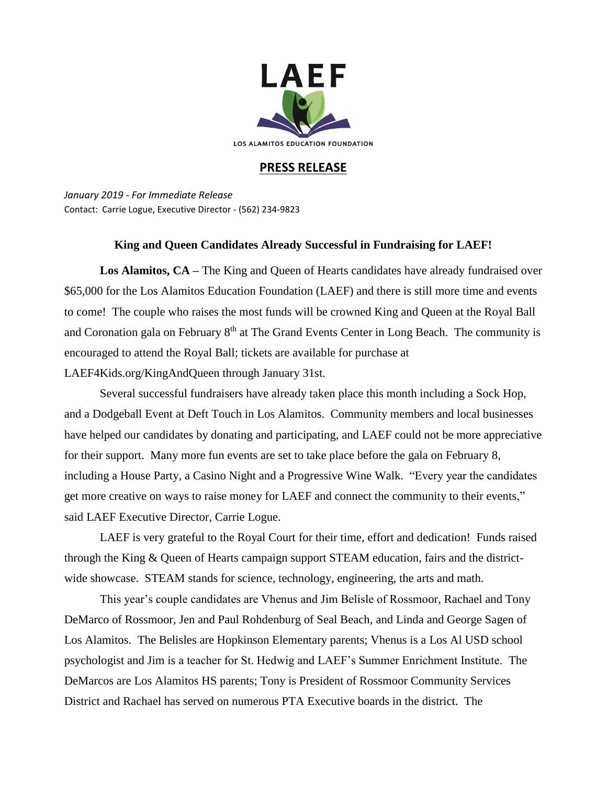

## **PRESS RELEASE**

*January 2019 - For Immediate Release* Contact: Carrie Logue, Executive Director - (562) 234-9823

## **King and Queen Candidates Already Successful in Fundraising for LAEF!**

Los Alamitos, CA – The King and Queen of Hearts candidates have already fundraised over \$65,000 for the Los Alamitos Education Foundation (LAEF) and there is still more time and events to come! The couple who raises the most funds will be crowned King and Queen at the Royal Ball and Coronation gala on February 8<sup>th</sup> at The Grand Events Center in Long Beach. The community is encouraged to attend the Royal Ball; tickets are available for purchase at LAEF4Kids.org/KingAndQueen through January 31st.

Several successful fundraisers have already taken place this month including a Sock Hop, and a Dodgeball Event at Deft Touch in Los Alamitos. Community members and local businesses have helped our candidates by donating and participating, and LAEF could not be more appreciative for their support. Many more fun events are set to take place before the gala on February 8, including a House Party, a Casino Night and a Progressive Wine Walk. "Every year the candidates get more creative on ways to raise money for LAEF and connect the community to their events," said LAEF Executive Director, Carrie Logue.

LAEF is very grateful to the Royal Court for their time, effort and dedication! Funds raised through the King & Queen of Hearts campaign support STEAM education, fairs and the districtwide showcase. STEAM stands for science, technology, engineering, the arts and math.

This year's couple candidates are Vhenus and Jim Belisle of Rossmoor, Rachael and Tony DeMarco of Rossmoor, Jen and Paul Rohdenburg of Seal Beach, and Linda and George Sagen of Los Alamitos. The Belisles are Hopkinson Elementary parents; Vhenus is a Los Al USD school psychologist and Jim is a teacher for St. Hedwig and LAEF's Summer Enrichment Institute. The DeMarcos are Los Alamitos HS parents; Tony is President of Rossmoor Community Services District and Rachael has served on numerous PTA Executive boards in the district. The